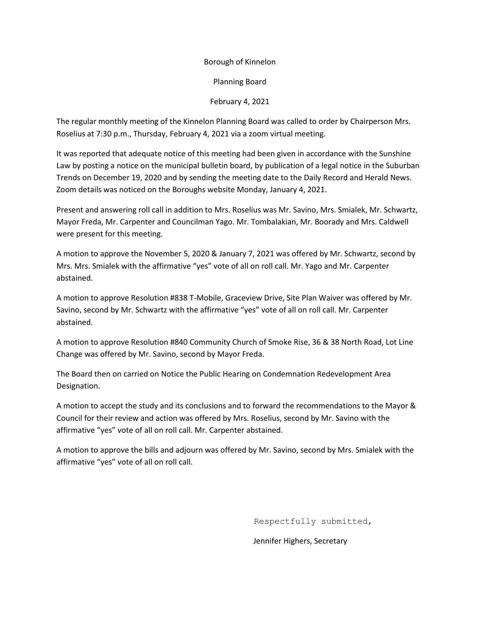## Borough of Kinnelon

Planning Board

## February 4, 2021

The regular monthly meeting of the Kinnelon Planning Board was called to order by Chairperson Mrs. Roselius at 7:30 p.m., Thursday, February 4, 2021 via a zoom virtual meeting.

It was reported that adequate notice of this meeting had been given in accordance with the Sunshine Law by posting a notice on the municipal bulletin board, by publication of a legal notice in the Suburban Trends on December 19, 2020 and by sending the meeting date to the Daily Record and Herald News. Zoom details was noticed on the Boroughs website Monday, January 4, 2021.

Present and answering roll call in addition to Mrs. Roselius was Mr. Savino, Mrs. Smialek, Mr. Schwartz, Mayor Freda, Mr. Carpenter and Councilman Yago. Mr. Tombalakian, Mr. Boorady and Mrs. Caldwell were present for this meeting.

A motion to approve the November 5, 2020 & January 7, 2021 was offered by Mr. Schwartz, second by Mrs. Mrs. Smialek with the affirmative "yes" vote of all on roll call. Mr. Yago and Mr. Carpenter abstained.

A motion to approve Resolution #838 T-Mobile, Graceview Drive, Site Plan Waiver was offered by Mr. Savino, second by Mr. Schwartz with the affirmative "yes" vote of all on roll call. Mr. Carpenter abstained.

A motion to approve Resolution #840 Community Church of Smoke Rise, 36 & 38 North Road, Lot Line Change was offered by Mr. Savino, second by Mayor Freda.

The Board then on carried on Notice the Public Hearing on Condemnation Redevelopment Area Designation.

A motion to accept the study and its conclusions and to forward the recommendations to the Mayor & Council for their review and action was offered by Mrs. Roselius, second by Mr. Savino with the affirmative "yes" vote of all on roll call. Mr. Carpenter abstained.

A motion to approve the bills and adjourn was offered by Mr. Savino, second by Mrs. Smialek with the affirmative "yes" vote of all on roll call.

Respectfully submitted,

Jennifer Highers, Secretary